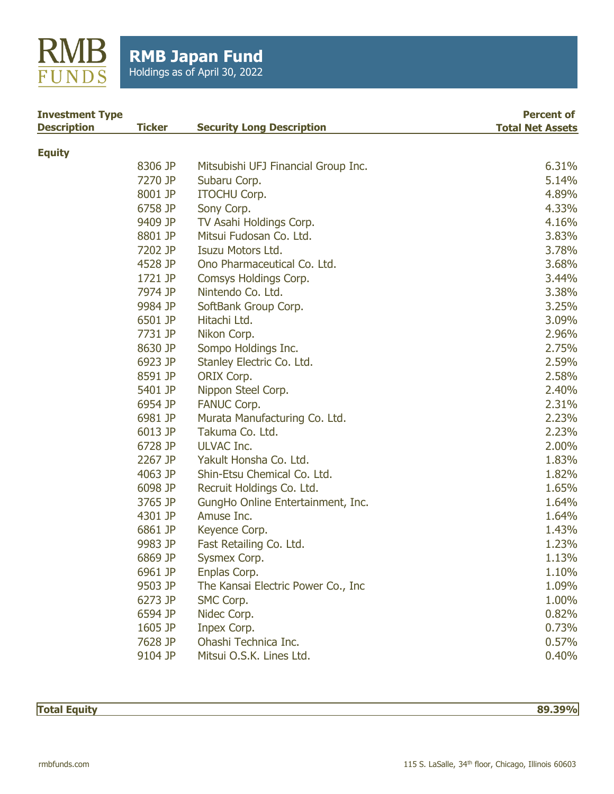

| <b>Investment Type</b> |               | <b>Security Long Description</b>    | <b>Percent of</b><br><b>Total Net Assets</b> |
|------------------------|---------------|-------------------------------------|----------------------------------------------|
| <b>Description</b>     | <b>Ticker</b> |                                     |                                              |
| <b>Equity</b>          |               |                                     |                                              |
|                        | 8306 JP       | Mitsubishi UFJ Financial Group Inc. | 6.31%                                        |
|                        | 7270 JP       | Subaru Corp.                        | 5.14%                                        |
|                        | 8001 JP       | <b>ITOCHU Corp.</b>                 | 4.89%                                        |
|                        | 6758 JP       | Sony Corp.                          | 4.33%                                        |
|                        | 9409 JP       | TV Asahi Holdings Corp.             | 4.16%                                        |
|                        | 8801 JP       | Mitsui Fudosan Co. Ltd.             | 3.83%                                        |
|                        | 7202 JP       | Isuzu Motors Ltd.                   | 3.78%                                        |
|                        | 4528 JP       | Ono Pharmaceutical Co. Ltd.         | 3.68%                                        |
|                        | 1721 JP       | Comsys Holdings Corp.               | 3.44%                                        |
|                        | 7974 JP       | Nintendo Co. Ltd.                   | 3.38%                                        |
|                        | 9984 JP       | SoftBank Group Corp.                | 3.25%                                        |
|                        | 6501 JP       | Hitachi Ltd.                        | 3.09%                                        |
|                        | 7731 JP       | Nikon Corp.                         | 2.96%                                        |
|                        | 8630 JP       | Sompo Holdings Inc.                 | 2.75%                                        |
|                        | 6923 JP       | Stanley Electric Co. Ltd.           | 2.59%                                        |
|                        | 8591 JP       | ORIX Corp.                          | 2.58%                                        |
|                        | 5401 JP       | Nippon Steel Corp.                  | 2.40%                                        |
|                        | 6954 JP       | <b>FANUC Corp.</b>                  | 2.31%                                        |
|                        | 6981 JP       | Murata Manufacturing Co. Ltd.       | 2.23%                                        |
|                        | 6013 JP       | Takuma Co. Ltd.                     | 2.23%                                        |
|                        | 6728 JP       | <b>ULVAC Inc.</b>                   | 2.00%                                        |
|                        | 2267 JP       | Yakult Honsha Co. Ltd.              | 1.83%                                        |
|                        | 4063 JP       | Shin-Etsu Chemical Co. Ltd.         | 1.82%                                        |
|                        | 6098 JP       | Recruit Holdings Co. Ltd.           | 1.65%                                        |
|                        | 3765 JP       | GungHo Online Entertainment, Inc.   | 1.64%                                        |
|                        | 4301 JP       | Amuse Inc.                          | 1.64%                                        |
|                        | 6861 JP       | Keyence Corp.                       | 1.43%                                        |
|                        | 9983 JP       | Fast Retailing Co. Ltd.             | 1.23%                                        |
|                        | 6869 JP       | Sysmex Corp.                        | 1.13%                                        |
|                        | 6961 JP       | Enplas Corp.                        | 1.10%                                        |
|                        | 9503 JP       | The Kansai Electric Power Co., Inc. | 1.09%                                        |
|                        | 6273 JP       | SMC Corp.                           | 1.00%                                        |
|                        | 6594 JP       | Nidec Corp.                         | 0.82%                                        |
|                        | 1605 JP       | Inpex Corp.                         | 0.73%                                        |
|                        | 7628 JP       | Ohashi Technica Inc.                | 0.57%                                        |
|                        | 9104 JP       | Mitsui O.S.K. Lines Ltd.            | 0.40%                                        |